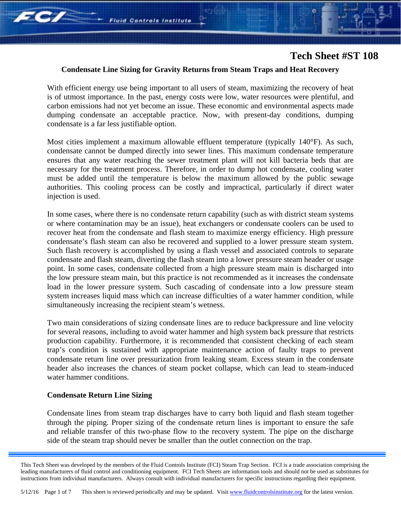

### **Condensate Line Sizing for Gravity Returns from Steam Traps and Heat Recovery**

With efficient energy use being important to all users of steam, maximizing the recovery of heat is of utmost importance. In the past, energy costs were low, water resources were plentiful, and carbon emissions had not yet become an issue. These economic and environmental aspects made dumping condensate an acceptable practice. Now, with present-day conditions, dumping condensate is a far less justifiable option.

Most cities implement a maximum allowable effluent temperature (typically 140°F). As such, condensate cannot be dumped directly into sewer lines. This maximum condensate temperature ensures that any water reaching the sewer treatment plant will not kill bacteria beds that are necessary for the treatment process. Therefore, in order to dump hot condensate, cooling water must be added until the temperature is below the maximum allowed by the public sewage authorities. This cooling process can be costly and impractical, particularly if direct water injection is used.

In some cases, where there is no condensate return capability (such as with district steam systems or where contamination may be an issue), heat exchangers or condensate coolers can be used to recover heat from the condensate and flash steam to maximize energy efficiency. High pressure condensate's flash steam can also be recovered and supplied to a lower pressure steam system. Such flash recovery is accomplished by using a flash vessel and associated controls to separate condensate and flash steam, diverting the flash steam into a lower pressure steam header or usage point. In some cases, condensate collected from a high pressure steam main is discharged into the low pressure steam main, but this practice is not recommended as it increases the condensate load in the lower pressure system. Such cascading of condensate into a low pressure steam system increases liquid mass which can increase difficulties of a water hammer condition, while simultaneously increasing the recipient steam's wetness.

Two main considerations of sizing condensate lines are to reduce backpressure and line velocity for several reasons, including to avoid water hammer and high system back pressure that restricts production capability. Furthermore, it is recommended that consistent checking of each steam trap's condition is sustained with appropriate maintenance action of faulty traps to prevent condensate return line over pressurization from leaking steam. Excess steam in the condensate header also increases the chances of steam pocket collapse, which can lead to steam-induced water hammer conditions.

#### **Condensate Return Line Sizing**

Condensate lines from steam trap discharges have to carry both liquid and flash steam together through the piping. Proper sizing of the condensate return lines is important to ensure the safe and reliable transfer of this two-phase flow to the recovery system. The pipe on the discharge side of the steam trap should never be smaller than the outlet connection on the trap.

This Tech Sheet was developed by the members of the Fluid Controls Institute (FCI) Steam Trap Section. FCI is a trade association comprising the leading manufacturers of fluid control and conditioning equipment. FCI Tech Sheets are information tools and should not be used as substitutes for instructions from individual manufacturers. Always consult with individual manufacturers for specific instructions regarding their equipment.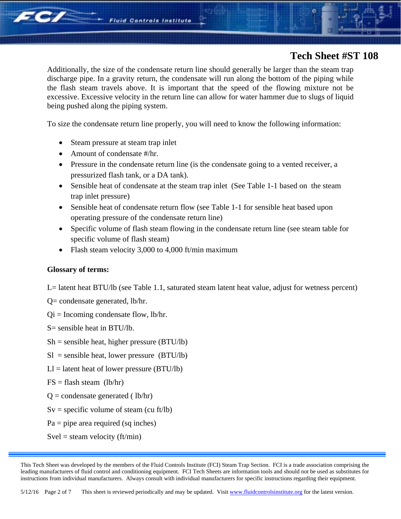Additionally, the size of the condensate return line should generally be larger than the steam trap discharge pipe. In a gravity return, the condensate will run along the bottom of the piping while the flash steam travels above. It is important that the speed of the flowing mixture not be excessive. Excessive velocity in the return line can allow for water hammer due to slugs of liquid being pushed along the piping system.

To size the condensate return line properly, you will need to know the following information:

- Steam pressure at steam trap inlet
- Amount of condensate #/hr.
- Pressure in the condensate return line (is the condensate going to a vented receiver, a pressurized flash tank, or a DA tank).
- Sensible heat of condensate at the steam trap inlet (See Table 1-1 based on the steam trap inlet pressure)
- Sensible heat of condensate return flow (see Table 1-1 for sensible heat based upon operating pressure of the condensate return line)
- Specific volume of flash steam flowing in the condensate return line (see steam table for specific volume of flash steam)
- Flash steam velocity 3,000 to 4,000 ft/min maximum

### **Glossary of terms:**

*FC/* 

L= latent heat BTU/lb (see Table 1.1, saturated steam latent heat value, adjust for wetness percent)

- Q= condensate generated, lb/hr.
- $Qi = Incoming condensate flow, lb/hr.$

S= sensible heat in BTU/lb.

- $Sh =$  sensible heat, higher pressure (BTU/lb)
- $SI$  = sensible heat, lower pressure (BTU/lb)
- $LI =$  latent heat of lower pressure (BTU/lb)
- $FS = flash steam (lb/hr)$
- $Q =$  condensate generated (1b/hr)
- $Sv =$  specific volume of steam (cu ft/lb)
- $Pa = pipe$  area required (sq inches)
- $Svel =$  steam velocity (ft/min)

This Tech Sheet was developed by the members of the Fluid Controls Institute (FCI) Steam Trap Section. FCI is a trade association comprising the leading manufacturers of fluid control and conditioning equipment. FCI Tech Sheets are information tools and should not be used as substitutes for instructions from individual manufacturers. Always consult with individual manufacturers for specific instructions regarding their equipment.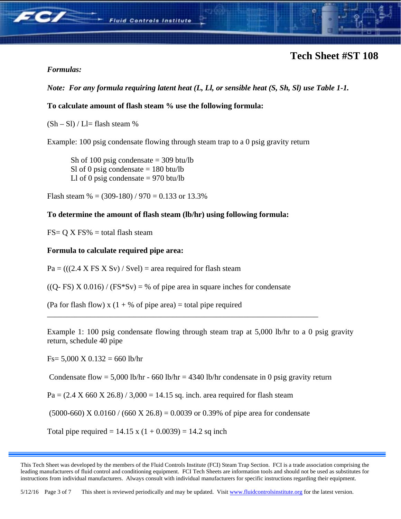

## *Formulas:*

# *Note: For any formula requiring latent heat (L, Ll, or sensible heat (S, Sh, Sl) use Table 1-1.*

## **To calculate amount of flash steam % use the following formula:**

 $(Sh - Sl) / Ll =$  flash steam %

Example: 100 psig condensate flowing through steam trap to a 0 psig gravity return

Sh of 100 psig condensate  $=$  309 btu/lb Sl of 0 psig condensate  $= 180$  btu/lb Ll of 0 psig condensate  $= 970$  btu/lb

Flash steam  $\% = (309-180) / 970 = 0.133$  or 13.3%

### **To determine the amount of flash steam (lb/hr) using following formula:**

 $FS = Q X FS% = total flash steam$ 

### **Formula to calculate required pipe area:**

 $Pa = (((2.4 \times FS \times Sv) / Svel) = area required for flash steam$ 

 $((Q-FS) X 0.016) / (FS*Sv) = % of pipe area in square inches for condensate$ 

\_\_\_\_\_\_\_\_\_\_\_\_\_\_\_\_\_\_\_\_\_\_\_\_\_\_\_\_\_\_\_\_\_\_\_\_\_\_\_\_\_\_\_\_\_\_\_\_\_\_\_\_\_\_\_\_\_\_\_\_\_\_\_\_\_\_\_\_\_

(Pa for flash flow) x  $(1 + %)$  of pipe area) = total pipe required

Example 1: 100 psig condensate flowing through steam trap at 5,000 lb/hr to a 0 psig gravity return, schedule 40 pipe

 $Fs = 5,000 \text{ X } 0.132 = 660 \text{ lb/hr}$ 

Condensate flow = 5,000 lb/hr - 660 lb/hr = 4340 lb/hr condensate in 0 psig gravity return

 $Pa = (2.4 \text{ X } 660 \text{ X } 26.8) / 3,000 = 14.15 \text{ sq. inch. area required for flash steam}$ 

 $(5000-660)$  X 0.0160 /  $(660 \text{ X } 26.8) = 0.0039$  or 0.39% of pipe area for condensate

Total pipe required =  $14.15 \times (1 + 0.0039) = 14.2$  sq inch

This Tech Sheet was developed by the members of the Fluid Controls Institute (FCI) Steam Trap Section. FCI is a trade association comprising the leading manufacturers of fluid control and conditioning equipment. FCI Tech Sheets are information tools and should not be used as substitutes for instructions from individual manufacturers. Always consult with individual manufacturers for specific instructions regarding their equipment.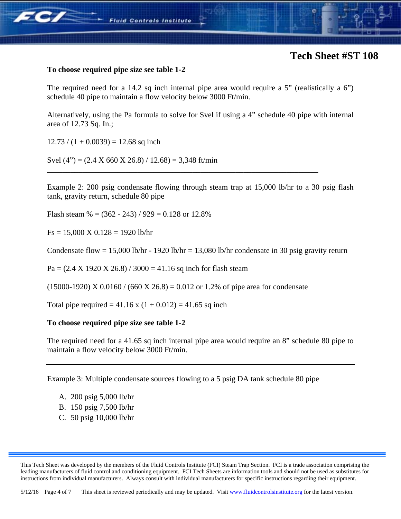

#### **To choose required pipe size see table 1-2**

The required need for a 14.2 sq inch internal pipe area would require a 5" (realistically a 6") schedule 40 pipe to maintain a flow velocity below 3000 Ft/min.

Alternatively, using the Pa formula to solve for Svel if using a 4" schedule 40 pipe with internal area of 12.73 Sq. In.;

 $12.73 / (1 + 0.0039) = 12.68$  sq inch

Svel (4") =  $(2.4 \text{ X } 660 \text{ X } 26.8) / 12.68$ ) = 3,348 ft/min

Example 2: 200 psig condensate flowing through steam trap at 15,000 lb/hr to a 30 psig flash tank, gravity return, schedule 80 pipe

\_\_\_\_\_\_\_\_\_\_\_\_\_\_\_\_\_\_\_\_\_\_\_\_\_\_\_\_\_\_\_\_\_\_\_\_\_\_\_\_\_\_\_\_\_\_\_\_\_\_\_\_\_\_\_\_\_\_\_\_\_\_\_\_\_\_\_\_\_

Flash steam  $\% = (362 - 243) / 929 = 0.128$  or 12.8%

 $Fs = 15,000 \text{ X } 0.128 = 1920 \text{ lb/hr}$ 

Condensate flow = 15,000 lb/hr - 1920 lb/hr = 13,080 lb/hr condensate in 30 psig gravity return

 $Pa = (2.4 \text{ X } 1920 \text{ X } 26.8) / 3000 = 41.16 \text{ sq inch}$  for flash steam

 $(15000-1920)$  X 0.0160 / (660 X 26.8) = 0.012 or 1.2% of pipe area for condensate

Total pipe required =  $41.16 \times (1 + 0.012) = 41.65$  sq inch

#### **To choose required pipe size see table 1-2**

The required need for a 41.65 sq inch internal pipe area would require an 8" schedule 80 pipe to maintain a flow velocity below 3000 Ft/min.

Example 3: Multiple condensate sources flowing to a 5 psig DA tank schedule 80 pipe

- A. 200 psig 5,000 lb/hr
- B. 150 psig 7,500 lb/hr
- C. 50 psig 10,000 lb/hr

This Tech Sheet was developed by the members of the Fluid Controls Institute (FCI) Steam Trap Section. FCI is a trade association comprising the leading manufacturers of fluid control and conditioning equipment. FCI Tech Sheets are information tools and should not be used as substitutes for instructions from individual manufacturers. Always consult with individual manufacturers for specific instructions regarding their equipment.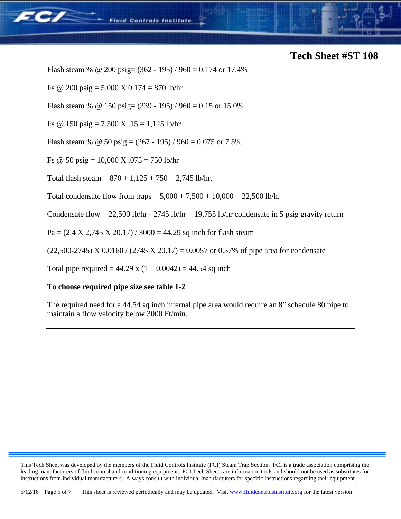

Flash steam % @ 200 psig=  $(362 - 195) / 960 = 0.174$  or 17.4%

**Fluid Controls Institute** 

Fs @ 200 psig =  $5,000 \text{ X } 0.174 = 870 \text{ lb/hr}$ 

Flash steam % @ 150 psig=  $(339 - 195) / 960 = 0.15$  or 15.0%

Fs @ 150 psig = 7,500 X .15 = 1,125 lb/hr

Flash steam % @ 50 psig =  $(267 - 195) / 960 = 0.075$  or 7.5%

Fs  $\textcircled{e}$  50 psig = 10,000 X .075 = 750 lb/hr

Total flash steam =  $870 + 1,125 + 750 = 2,745$  lb/hr.

Total condensate flow from traps =  $5,000 + 7,500 + 10,000 = 22,500$  lb/h.

Condensate flow =  $22,500$  lb/hr -  $2745$  lb/hr =  $19,755$  lb/hr condensate in 5 psig gravity return

 $Pa = (2.4 \text{ X } 2,745 \text{ X } 20.17) / 3000 = 44.29 \text{ sq inch}$  for flash steam

 $(22,500-2745)$  X 0.0160 /  $(2745 \text{ X } 20.17) = 0.0057$  or 0.57% of pipe area for condensate

Total pipe required =  $44.29 \times (1 + 0.0042) = 44.54$  sq inch

### **To choose required pipe size see table 1-2**

The required need for a 44.54 sq inch internal pipe area would require an 8" schedule 80 pipe to maintain a flow velocity below 3000 Ft/min.

This Tech Sheet was developed by the members of the Fluid Controls Institute (FCI) Steam Trap Section. FCI is a trade association comprising the leading manufacturers of fluid control and conditioning equipment. FCI Tech Sheets are information tools and should not be used as substitutes for instructions from individual manufacturers. Always consult with individual manufacturers for specific instructions regarding their equipment.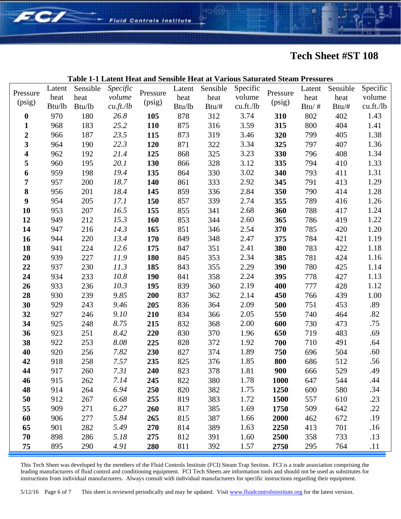

#### **Table 1-1 Latent Heat and Sensible Heat at Various Saturated Steam Pressures**  Pressure (psig) Latent heat Btu/lb Sensible heat Btu/lb *Specific volume cu.ft./lb*  Pressure (psig) Latent Sensible Specific heat Btu/lb heat Btu/# volume cu.ft./lb Pressure (psig) Latent heat Btu/ # Sensible heat Btu/# Specific volume cu.ft./lb **0** 970 180 *26.8* **105** 878 312 3.74 **310** 802 402 1.43 **1** 968 183 *25.2* **110** 875 316 3.59 **315** 800 404 1.41 **2** 966 187 *23.5* **115** 873 319 3.46 **320** 799 405 1.38 **3** 964 190 *22.3* **120** 871 322 3.34 **325** 797 407 1.36 **4** 962 192 *21.4* **125** 868 325 3.23 **330** 796 408 1.34 **5** 960 195 *20.1* **130** 866 328 3.12 **335** 794 410 1.33 **6** 959 198 *19.4* **135** 864 330 3.02 **340** 793 411 1.31 **7** 957 200 *18.7* **140** 861 333 2.92 **345** 791 413 1.29 **8** 956 201 *18.4* **145** 859 336 2.84 **350** 790 414 1.28 **9** 954 205 *17.1* **150** 857 339 2.74 **355** 789 416 1.26 **10** 953 207 *16.5* **155** 855 341 2.68 **360** 788 417 1.24 **12** 949 212 *15.3* **160** 853 344 2.60 **365** 786 419 1.22 **14** 947 216 *14.3* **165** 851 346 2.54 **370** 785 420 1.20 **16** 944 220 *13.4* **170** 849 348 2.47 **375** 784 421 1.19 **18** 941 224 *12.6* **175** 847 351 2.41 **380** 783 422 1.18 **20** 939 227 *11.9* **180** 845 353 2.34 **385** 781 424 1.16 **22** 937 230 *11.3* **185** 843 355 2.29 **390** 780 425 1.14 **24** 934 233 *10.8* **190** 841 358 2.24 **395** 778 427 1.13 **26** 933 236 *10.3* **195** 839 360 2.19 **400** 777 428 1.12 **28** 930 239 *9.85* **200** 837 362 2.14 **450** 766 439 1.00 **30** 929 243 *9.46* **205** 836 364 2.09 **500** 751 453 .89 **32** 927 246 *9.10* **210** 834 366 2.05 **550** 740 464 .82 **34** 925 248 *8.75* **215** 832 368 2.00 **600** 730 473 .75 **36** 923 251 *8.42* **220** 830 370 1.96 **650** 719 483 .69 **38** 922 253 *8.08* **225** 828 372 1.92 **700** 710 491 .64 **40** 920 256 *7.82* **230** 827 374 1.89 **750** 696 504 .60 **42** 918 258 *7.57* **235** 825 376 1.85 **800** 686 512 .56 **44** 917 260 *7.31* **240** 823 378 1.81 **900** 666 529 .49 **46** 915 262 *7.14* **245** 822 380 1.78 **1000** 647 544 .44 **48** 914 264 *6.94* **250** 820 382 1.75 **1250** 600 580 .34 **50** 912 267 *6.68* **255** 819 383 1.72 **1500** 557 610 .23 **55** 909 271 *6.27* **260** 817 385 1.69 **1750** 509 642 .22 **60** 906 277 *5.84* **265** 815 387 1.66 **2000** 462 672 .19 **65** 901 282 *5.49* **270** 814 389 1.63 **2250** 413 701 .16 **70** 898 286 *5.18* **275** 812 391 1.60 **2500** 358 733 .13

FC/

**Fluid Controls Institute** 

This Tech Sheet was developed by the members of the Fluid Controls Institute (FCI) Steam Trap Section. FCI is a trade association comprising the leading manufacturers of fluid control and conditioning equipment. FCI Tech Sheets are information tools and should not be used as substitutes for instructions from individual manufacturers. Always consult with individual manufacturers for specific instructions regarding their equipment.

**75** 895 290 *4.91* **280** 811 392 1.57 **2750** 295 764 .11

5/12/16 Page 6 of 7 This sheet is reviewed periodically and may be updated. Visit www.fluidcontrolsinstitute.org for the latest version.